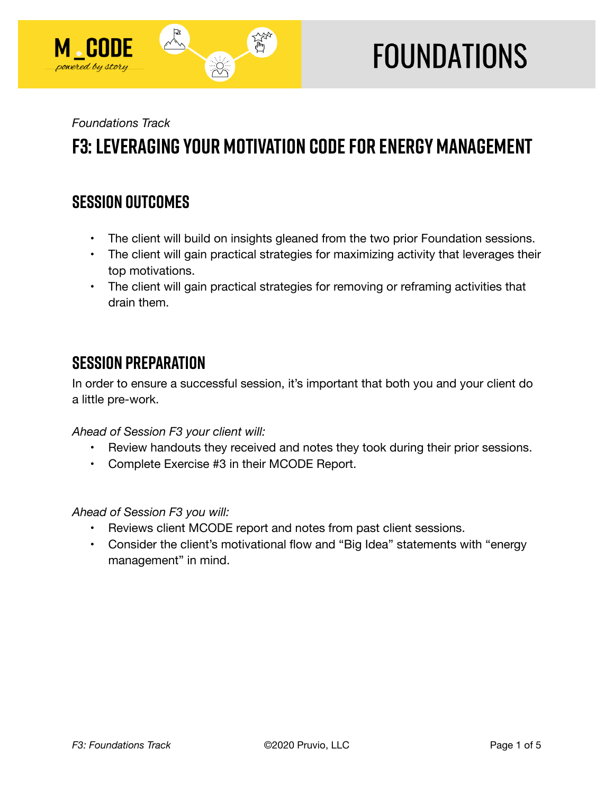

# **FOUNDATIONS**

*Foundations Track* 

## **F3: Leveraging Your Motivation Code for Energy Management**

## **SESSION OUTCOMES**

- The client will build on insights gleaned from the two prior Foundation sessions.
- The client will gain practical strategies for maximizing activity that leverages their top motivations.
- The client will gain practical strategies for removing or reframing activities that drain them.

### **SESSION PREPARATION**

In order to ensure a successful session, it's important that both you and your client do a little pre-work.

*Ahead of Session F3 your client will:* 

- Review handouts they received and notes they took during their prior sessions.
- Complete Exercise #3 in their MCODE Report.

*Ahead of Session F3 you will:* 

- Reviews client MCODE report and notes from past client sessions.
- Consider the client's motivational flow and "Big Idea" statements with "energy management" in mind.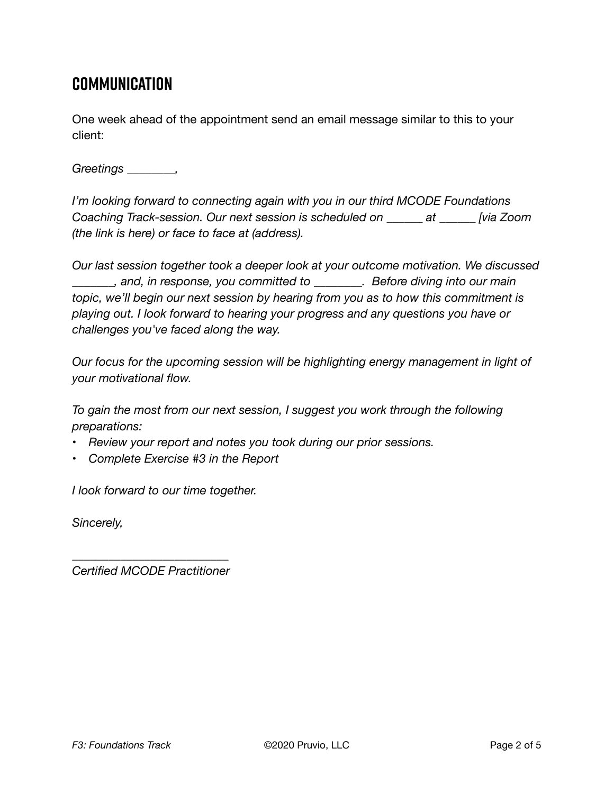## **Communication**

One week ahead of the appointment send an email message similar to this to your client:

*Greetings \_\_\_\_\_\_\_\_,* 

*I'm looking forward to connecting again with you in our third MCODE Foundations Coaching Track-session. Our next session is scheduled on \_\_\_\_\_\_ at \_\_\_\_\_\_ [via Zoom (the link is here) or face to face at (address).* 

*Our last session together took a deeper look at your outcome motivation. We discussed \_\_\_\_\_\_\_, and, in response, you committed to \_\_\_\_\_\_\_\_. Before diving into our main topic, we'll begin our next session by hearing from you as to how this commitment is playing out. I look forward to hearing your progress and any questions you have or challenges you've faced along the way.* 

*Our focus for the upcoming session will be highlighting energy management in light of your motivational flow.* 

*To gain the most from our next session, I suggest you work through the following preparations:* 

- *Review your report and notes you took during our prior sessions.*
- *Complete Exercise #3 in the Report*

*I look forward to our time together.* 

*Sincerely,* 

*\_\_\_\_\_\_\_\_\_\_\_\_\_\_\_\_\_\_\_\_\_\_\_\_\_\_ Certified MCODE Practitioner*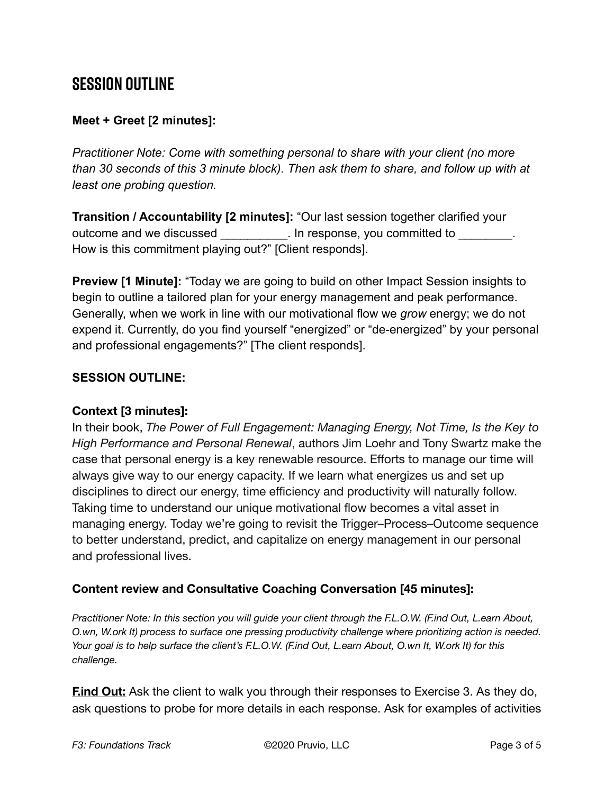## **SESSION OUTLINE**

#### **Meet + Greet [2 minutes]:**

*Practitioner Note: Come with something personal to share with your client (no more than 30 seconds of this 3 minute block). Then ask them to share, and follow up with at least one probing question.* 

**Transition / Accountability [2 minutes]:** "Our last session together clarified your outcome and we discussed and  $\blacksquare$  . In response, you committed to  $\blacksquare$ How is this commitment playing out?" [Client responds].

**Preview [1 Minute]:** "Today we are going to build on other Impact Session insights to begin to outline a tailored plan for your energy management and peak performance. Generally, when we work in line with our motivational flow we *grow* energy; we do not expend it. Currently, do you find yourself "energized" or "de-energized" by your personal and professional engagements?" [The client responds].

#### **SESSION OUTLINE:**

#### **Context [3 minutes]:**

In their book, *The Power of Full Engagement: Managing Energy, Not Time, Is the Key to High Performance and Personal Renewal*, authors Jim Loehr and Tony Swartz make the case that personal energy is a key renewable resource. Efforts to manage our time will always give way to our energy capacity. If we learn what energizes us and set up disciplines to direct our energy, time efficiency and productivity will naturally follow. Taking time to understand our unique motivational flow becomes a vital asset in managing energy. Today we're going to revisit the Trigger–Process–Outcome sequence to better understand, predict, and capitalize on energy management in our personal and professional lives.

#### **Content review and Consultative Coaching Conversation [45 minutes]:**

*Practitioner Note: In this section you will guide your client through the F.L.O.W. (F.ind Out, L.earn About, O.wn, W.ork It) process to surface one pressing productivity challenge where prioritizing action is needed. Your goal is to help surface the client's F.L.O.W. (F.ind Out, L.earn About, O.wn It, W.ork It) for this challenge.*

**Find Out:** Ask the client to walk you through their responses to Exercise 3. As they do, ask questions to probe for more details in each response. Ask for examples of activities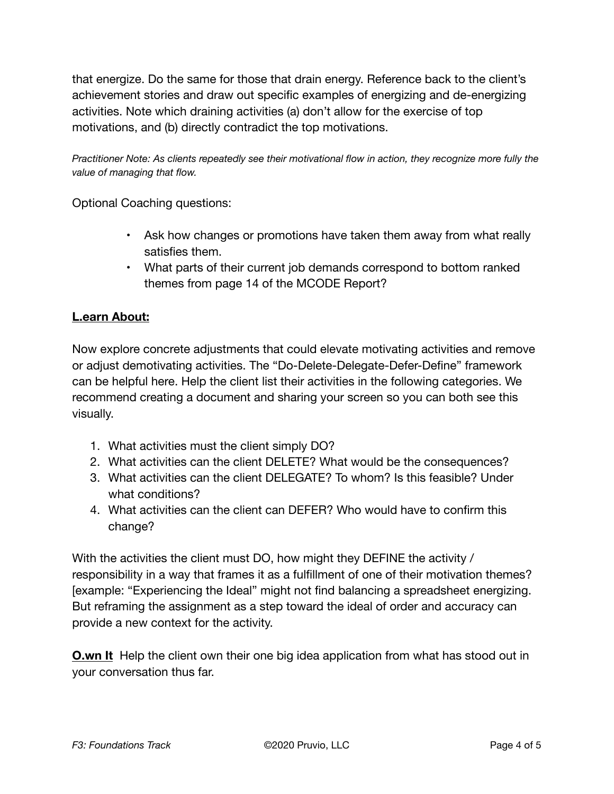that energize. Do the same for those that drain energy. Reference back to the client's achievement stories and draw out specific examples of energizing and de-energizing activities. Note which draining activities (a) don't allow for the exercise of top motivations, and (b) directly contradict the top motivations.

*Practitioner Note: As clients repeatedly see their motivational flow in action, they recognize more fully the value of managing that flow.*

Optional Coaching questions:

- Ask how changes or promotions have taken them away from what really satisfies them.
- What parts of their current job demands correspond to bottom ranked themes from page 14 of the MCODE Report?

#### **L.earn About:**

Now explore concrete adjustments that could elevate motivating activities and remove or adjust demotivating activities. The "Do-Delete-Delegate-Defer-Define" framework can be helpful here. Help the client list their activities in the following categories. We recommend creating a document and sharing your screen so you can both see this visually.

- 1. What activities must the client simply DO?
- 2. What activities can the client DELETE? What would be the consequences?
- 3. What activities can the client DELEGATE? To whom? Is this feasible? Under what conditions?
- 4. What activities can the client can DEFER? Who would have to confirm this change?

With the activities the client must DO, how might they DEFINE the activity / responsibility in a way that frames it as a fulfillment of one of their motivation themes? [example: "Experiencing the Ideal" might not find balancing a spreadsheet energizing. But reframing the assignment as a step toward the ideal of order and accuracy can provide a new context for the activity.

**O.wn It** Help the client own their one big idea application from what has stood out in your conversation thus far.